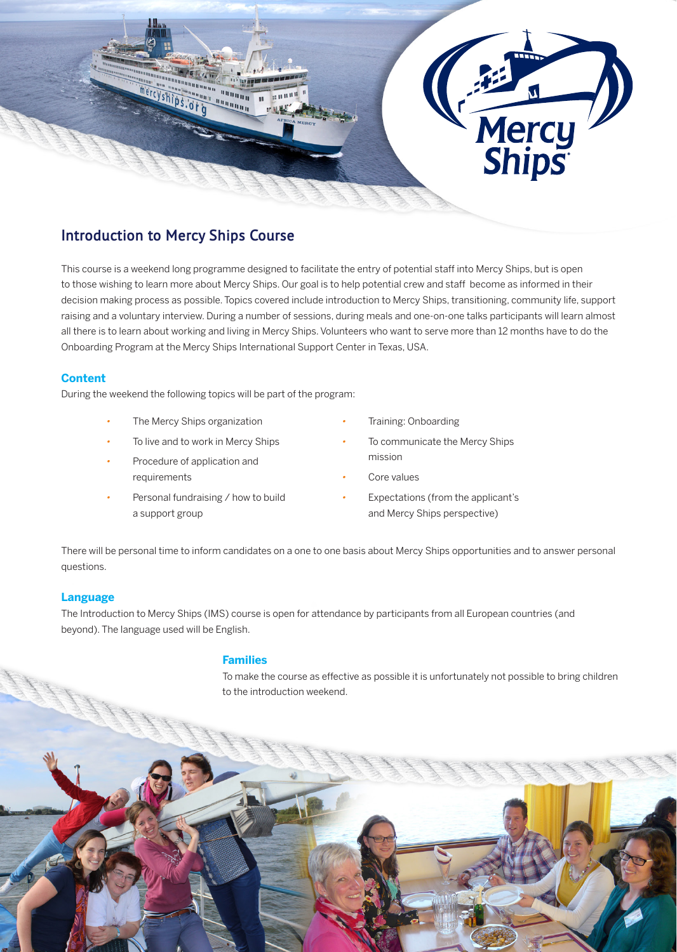

# **Introduction to Mercy Ships Course**

This course is a weekend long programme designed to facilitate the entry of potential staff into Mercy Ships, but is open to those wishing to learn more about Mercy Ships. Our goal is to help potential crew and staff become as informed in their decision making process as possible. Topics covered include introduction to Mercy Ships, transitioning, community life, support raising and a voluntary interview. During a number of sessions, during meals and one-on-one talks participants will learn almost all there is to learn about working and living in Mercy Ships. Volunteers who want to serve more than 12 months have to do the Onboarding Program at the Mercy Ships International Support Center in Texas, USA.

# **Content**

During the weekend the following topics will be part of the program:

- •The Mercy Ships organization
- To live and to work in Mercy Ships
- Procedure of application and requirements
- Personal fundraising / how to build a support group
- Training: Onboarding
- To communicate the Mercy Ships mission
- Core values
- Expectations (from the applicant's and Mercy Ships perspective)

There will be personal time to inform candidates on a one to one basis about Mercy Ships opportunities and to answer personal questions.

## **Language**

The Introduction to Mercy Ships (IMS) course is open for attendance by participants from all European countries (and beyond). The language used will be English.

## **Families**

To make the course as effective as possible it is unfortunately not possible to bring children to the introduction weekend.